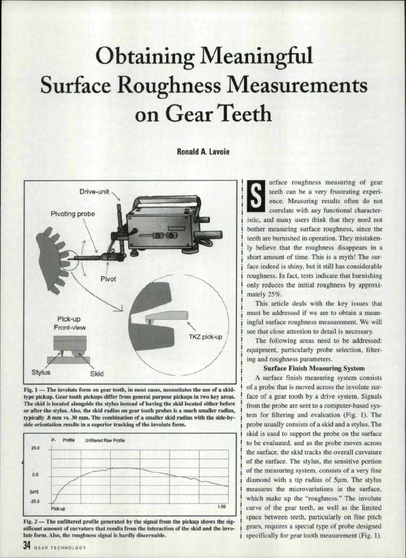# **Obtaining Meaningful Surface Roughness Measurements** on Gear Teeth

**Ronald A. Lavoie** 



Fig. 1 - The involute form on gear teeth, in most cases, necessitates the use of a skidtype pickup. Gear tooth pickups differ from general purpose pickups in two key areas. The skid is located alongside the stylus instead of having the skid located either before or after the stylus. Also, the skid radius on gear tooth probes is a much smaller radius, typically .8 mm vs. 30 mm. The combination of a smaller skid radius with the side-byside orientation results in a superior tracking of the involute form.



Fig. 2 — The unfiltered profile generated by the signal from the pickup shows the significant amount of curvature that results from the interaction of the skid and the involute form. Also, the roughness signal is hardly discernable.

urface roughness measuring of gear teeth can be a very frustrating experience. Measuring results often do not correlate with any functional characteristic, and many users think that they need not bother measuring surface roughness, since the teeth are burnished in operation. They mistakenly believe that the roughness disappears in a short amount of time. This is a myth! The surface indeed is shiny, but it still has considerable roughness. In fact, tests indicate that burnishing only reduces the initial roughness by approximately 25%.

This article deals with the key issues that must be addressed if we are to obtain a meaningful surface roughness measurement. We will see that close attention to detail is necessary.

The following areas need to be addressed: equipment, particularly probe selection, filtering and roughness parameters.

### **Surface Finish Measuring System**

A surface finish measuring system consists of a probe that is moved across the involute surface of a gear tooth by a drive system. Signals from the probe are sent to a computer-based system for filtering and evaluation (Fig. 1). The probe usually consists of a skid and a stylus. The skid is used to support the probe on the surface to be evaluated, and as the probe moves across the surface, the skid tracks the overall curvature of the surface. The stylus, the sensitive portion of the measuring system, consists of a very fine diamond with a tip radius of 5µm. The stylus measures the microvariations in the surface, which make up the "roughness." The involute curve of the gear teeth, as well as the limited space between teeth, particularly on fine pitch gears, requires a special type of probe designed specifically for gear tooth measurement (Fig. 1).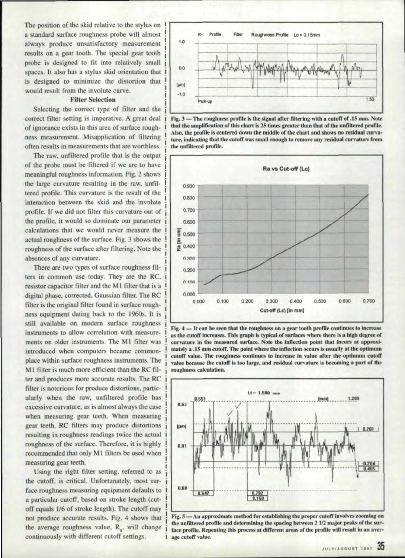The position of the skid relative to the stylus on a standard surface roughness probe will almost always produce unsatisfactory measurement results on a gear tooth. The special gear tooth probe is designed to fit into relatively small spaces. It also has a stylus skid orientation that designed to minimize the distortion that would result from the involute curve.

### **Filter Selection**

Selecting the correct type of filter and the correct filter setting is imperative. A great deal of ignorance exists in this area of surface roughness measurement. Misapplication of filtering often results in measurements that are worthless.

The raw, unfiltered profile that is the output of the probe must be filtered if we are to have meaningful roughness information. Fig. 2 shows the large curvature resulting in the raw, unfittered profile. This curvature is the result of the interaction between the skid and the involute profile. If we did not filter this curvature out of the profile, it would so dominate our parameter calculations that we would never measure the actual roughness of the surface. Fig. 3 shows the roughness of the surface after filtering. Note the absences of any curvature.

resulting in roughness readings twice the actual roughness of the surface. Therefore, it is highly  $\left| \right|_{0.01}$ recommended that only M1 filters be used when measuring gear teeth. There are two types of surface roughness filters in common use today. They are the RC, resistor capacitor filter and the M1 filter that is a digital phase, corrected, Gaussian filter. The RC filter is the original filter found in surface roughness equipment dating back to the 1960s. It is still available on modern surface roughness instruments to allow correlation with measurements on older instruments. The M1 filter was introduced when computers became commonplace within surface roughness instruments. The M1 filter is much more efficient than the RC filter and produces more accurate results. The RC filter is notorious for produce distortions, particularly when the raw, unfiltered profile has excessive curvature, as is almost always the case when measuring gear teeth. When measuring gear teeth, RC filters may produce distortions

Using the right filter setting, referred to as the cutoff, is critical. Unfortunately, most surface roughness measuring equipment defaults to a particular cutoff, based on stroke length (cutoff equals 1/6 of stroke length). The cutoff may not produce accurate results. Fig. 4 shows that the average roughness value,  $R_{n}$ , will change 'continuously with different cutoff ettings.



Fig. 3 - The roughness profile is the signal after filtering with a cutoff of .15 mm. Note that the amplification of this chart is 25 times greater than that of the unfiltered profile. Also, the profile is centered down the middle of the chart and shows no residual curvature, indicating that the cutoff was small enough to remove any residual curvature from the unfiltered profile.



Fig. 4 - It can be seen that the roughness on a gear tooth profile continues to increase as the cutoff increases. This graph is typical of surfaces where there is a high degree of curvature in the measured surface. Note the inflection point that incurs at approximately a .15 mm cutoff. The point where the inflection occurs is usually at the optimum cutoff value. The roughness continues to increase in value after the optimum cutoff value because the cutoff is too large, and residual curvature is becoming a part of the roughness calculation.



Fig. 5 - An approximate method for establishing the proper cutoff involves zooming on the unfiltered profile and determining the spacing between 2 1/2 major peaks of the surface profile. Repeating this process at different areas of the profile will result in an average cutoff value.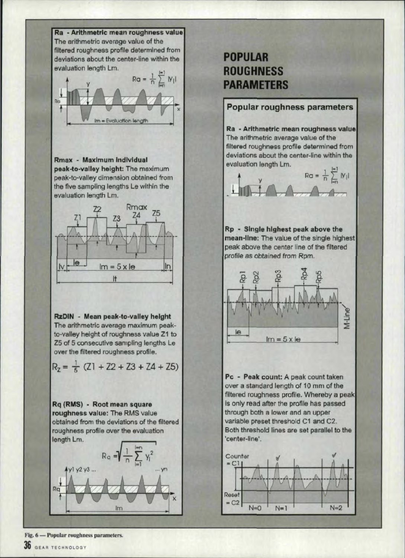

## **POPULAR ROUGHNESS**



Fig. 6 - Popular roughness parameters.